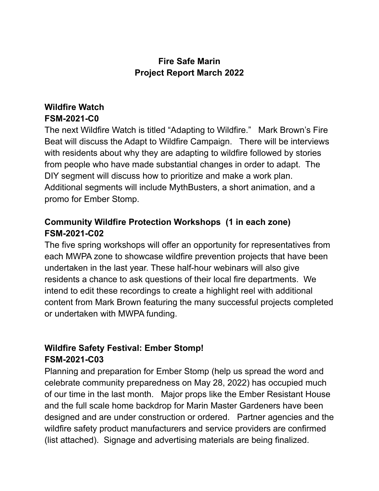## **Fire Safe Marin Project Report March 2022**

# **Wildfire Watch FSM-2021-C0**

The next Wildfire Watch is titled "Adapting to Wildfire." Mark Brown's Fire Beat will discuss the Adapt to Wildfire Campaign. There will be interviews with residents about why they are adapting to wildfire followed by stories from people who have made substantial changes in order to adapt. The DIY segment will discuss how to prioritize and make a work plan. Additional segments will include MythBusters, a short animation, and a promo for Ember Stomp.

## **Community Wildfire Protection Workshops (1 in each zone) FSM-2021-C02**

The five spring workshops will offer an opportunity for representatives from each MWPA zone to showcase wildfire prevention projects that have been undertaken in the last year. These half-hour webinars will also give residents a chance to ask questions of their local fire departments. We intend to edit these recordings to create a highlight reel with additional content from Mark Brown featuring the many successful projects completed or undertaken with MWPA funding.

# **Wildfire Safety Festival: Ember Stomp! FSM-2021-C03**

Planning and preparation for Ember Stomp (help us spread the word and celebrate community preparedness on May 28, 2022) has occupied much of our time in the last month. Major props like the Ember Resistant House and the full scale home backdrop for Marin Master Gardeners have been designed and are under construction or ordered. Partner agencies and the wildfire safety product manufacturers and service providers are confirmed (list attached). Signage and advertising materials are being finalized.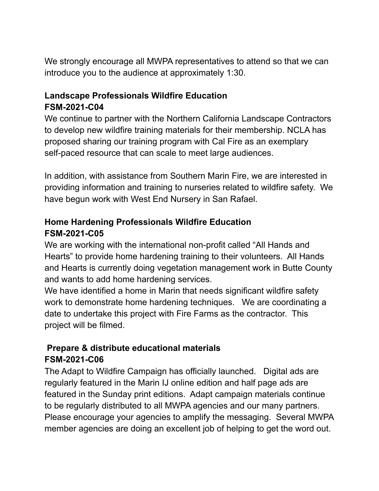We strongly encourage all MWPA representatives to attend so that we can introduce you to the audience at approximately 1:30.

### **Landscape Professionals Wildfire Education FSM-2021-C04**

We continue to partner with the Northern California Landscape Contractors to develop new wildfire training materials for their membership. NCLA has proposed sharing our training program with Cal Fire as an exemplary self-paced resource that can scale to meet large audiences.

In addition, with assistance from Southern Marin Fire, we are interested in providing information and training to nurseries related to wildfire safety. We have begun work with West End Nursery in San Rafael.

### **Home Hardening Professionals Wildfire Education FSM-2021-C05**

We are working with the international non-profit called "All Hands and Hearts" to provide home hardening training to their volunteers. All Hands and Hearts is currently doing vegetation management work in Butte County and wants to add home hardening services.

We have identified a home in Marin that needs significant wildfire safety work to demonstrate home hardening techniques. We are coordinating a date to undertake this project with Fire Farms as the contractor. This project will be filmed.

# **Prepare & distribute educational materials FSM-2021-C06**

The Adapt to Wildfire Campaign has officially launched. Digital ads are regularly featured in the Marin IJ online edition and half page ads are featured in the Sunday print editions. Adapt campaign materials continue to be regularly distributed to all MWPA agencies and our many partners. Please encourage your agencies to amplify the messaging. Several MWPA member agencies are doing an excellent job of helping to get the word out.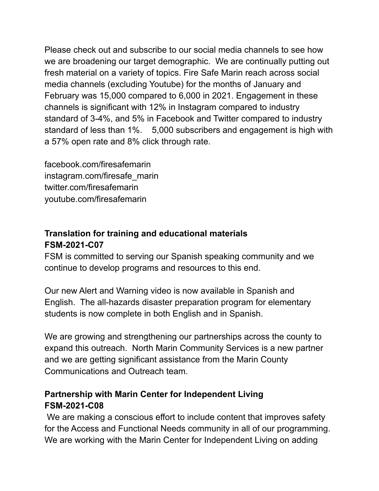Please check out and subscribe to our social media channels to see how we are broadening our target demographic. We are continually putting out fresh material on a variety of topics. Fire Safe Marin reach across social media channels (excluding Youtube) for the months of January and February was 15,000 compared to 6,000 in 2021. Engagement in these channels is significant with 12% in Instagram compared to industry standard of 3-4%, and 5% in Facebook and Twitter compared to industry standard of less than 1%. 5,000 subscribers and engagement is high with a 57% open rate and 8% click through rate.

facebook.com/firesafemarin instagram.com/firesafe\_marin twitter.com/firesafemarin youtube.com/firesafemarin

# **Translation for training and educational materials FSM-2021-C07**

FSM is committed to serving our Spanish speaking community and we continue to develop programs and resources to this end.

Our new Alert and Warning video is now available in Spanish and English. The all-hazards disaster preparation program for elementary students is now complete in both English and in Spanish.

We are growing and strengthening our partnerships across the county to expand this outreach. North Marin Community Services is a new partner and we are getting significant assistance from the Marin County Communications and Outreach team.

## **Partnership with Marin Center for Independent Living FSM-2021-C08**

We are making a conscious effort to include content that improves safety for the Access and Functional Needs community in all of our programming. We are working with the Marin Center for Independent Living on adding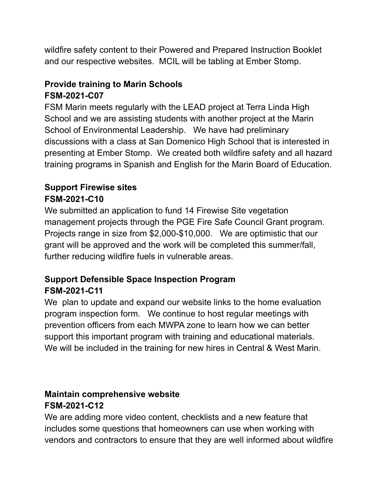wildfire safety content to their Powered and Prepared Instruction Booklet and our respective websites. MCIL will be tabling at Ember Stomp.

## **Provide training to Marin Schools FSM-2021-C07**

FSM Marin meets regularly with the LEAD project at Terra Linda High School and we are assisting students with another project at the Marin School of Environmental Leadership. We have had preliminary discussions with a class at San Domenico High School that is interested in presenting at Ember Stomp. We created both wildfire safety and all hazard training programs in Spanish and English for the Marin Board of Education.

#### **Support Firewise sites FSM-2021-C10**

We submitted an application to fund 14 Firewise Site vegetation management projects through the PGE Fire Safe Council Grant program. Projects range in size from \$2,000-\$10,000. We are optimistic that our grant will be approved and the work will be completed this summer/fall, further reducing wildfire fuels in vulnerable areas.

# **Support Defensible Space Inspection Program FSM-2021-C11**

We plan to update and expand our website links to the home evaluation program inspection form. We continue to host regular meetings with prevention officers from each MWPA zone to learn how we can better support this important program with training and educational materials. We will be included in the training for new hires in Central & West Marin.

## **Maintain comprehensive website FSM-2021-C12**

We are adding more video content, checklists and a new feature that includes some questions that homeowners can use when working with vendors and contractors to ensure that they are well informed about wildfire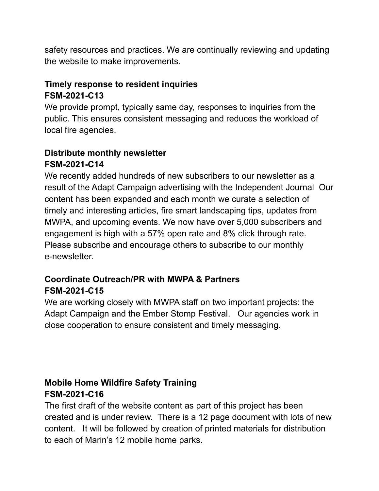safety resources and practices. We are continually reviewing and updating the website to make improvements.

### **Timely response to resident inquiries FSM-2021-C13**

We provide prompt, typically same day, responses to inquiries from the public. This ensures consistent messaging and reduces the workload of local fire agencies.

### **Distribute monthly newsletter FSM-2021-C14**

We recently added hundreds of new subscribers to our newsletter as a result of the Adapt Campaign advertising with the Independent Journal Our content has been expanded and each month we curate a selection of timely and interesting articles, fire smart landscaping tips, updates from MWPA, and upcoming events. We now have over 5,000 subscribers and engagement is high with a 57% open rate and 8% click through rate. Please subscribe and encourage others to subscribe to our monthly e-newsletter.

## **Coordinate Outreach/PR with MWPA & Partners FSM-2021-C15**

We are working closely with MWPA staff on two important projects: the Adapt Campaign and the Ember Stomp Festival. Our agencies work in close cooperation to ensure consistent and timely messaging.

## **Mobile Home Wildfire Safety Training FSM-2021-C16**

The first draft of the website content as part of this project has been created and is under review. There is a 12 page document with lots of new content. It will be followed by creation of printed materials for distribution to each of Marin's 12 mobile home parks.